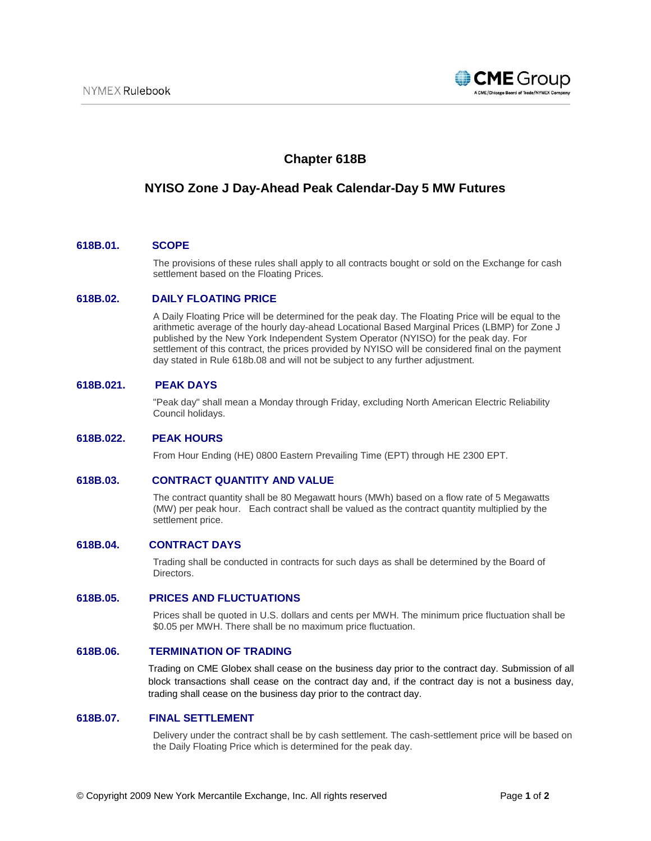

# **Chapter 618B**

# **NYISO Zone J Day-Ahead Peak Calendar-Day 5 MW Futures**

#### **618B.01. SCOPE**

The provisions of these rules shall apply to all contracts bought or sold on the Exchange for cash settlement based on the Floating Prices.

### **618B.02. DAILY FLOATING PRICE**

A Daily Floating Price will be determined for the peak day. The Floating Price will be equal to the arithmetic average of the hourly day-ahead Locational Based Marginal Prices (LBMP) for Zone J published by the New York Independent System Operator (NYISO) for the peak day. For settlement of this contract, the prices provided by NYISO will be considered final on the payment day stated in Rule 618b.08 and will not be subject to any further adjustment.

### **618B.021. PEAK DAYS**

"Peak day" shall mean a Monday through Friday, excluding North American Electric Reliability Council holidays.

#### **618B.022. PEAK HOURS**

From Hour Ending (HE) 0800 Eastern Prevailing Time (EPT) through HE 2300 EPT.

#### **618B.03. CONTRACT QUANTITY AND VALUE**

The contract quantity shall be 80 Megawatt hours (MWh) based on a flow rate of 5 Megawatts (MW) per peak hour. Each contract shall be valued as the contract quantity multiplied by the settlement price.

#### **618B.04. CONTRACT DAYS**

Trading shall be conducted in contracts for such days as shall be determined by the Board of Directors.

#### **618B.05. PRICES AND FLUCTUATIONS**

Prices shall be quoted in U.S. dollars and cents per MWH. The minimum price fluctuation shall be \$0.05 per MWH. There shall be no maximum price fluctuation.

#### **618B.06. TERMINATION OF TRADING**

Trading on CME Globex shall cease on the business day prior to the contract day. Submission of all block transactions shall cease on the contract day and, if the contract day is not a business day, trading shall cease on the business day prior to the contract day.

#### **618B.07. FINAL SETTLEMENT**

Delivery under the contract shall be by cash settlement. The cash-settlement price will be based on the Daily Floating Price which is determined for the peak day.